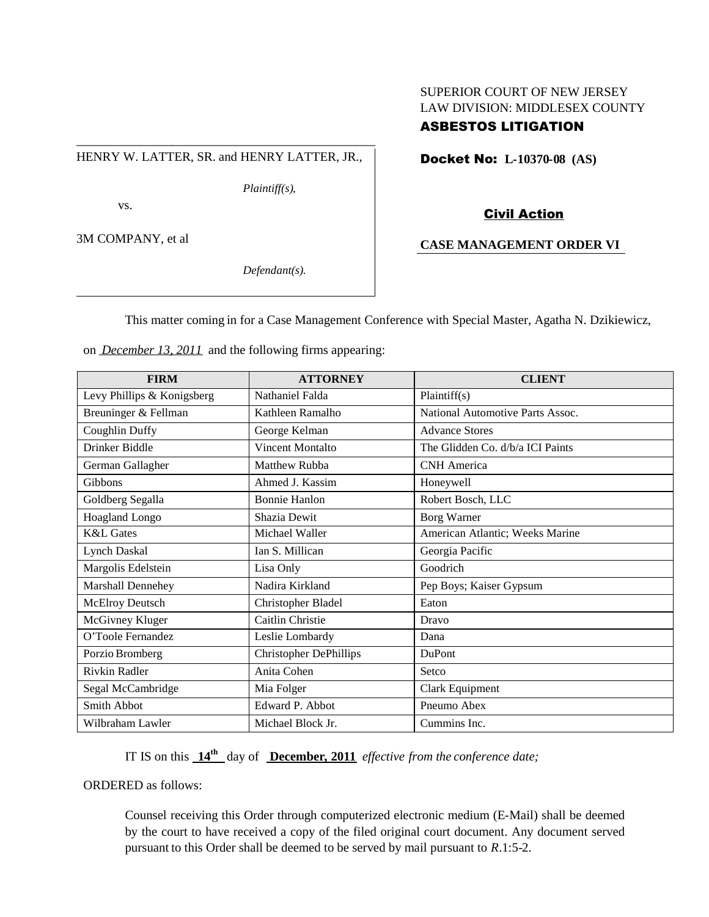# SUPERIOR COURT OF NEW JERSEY LAW DIVISION: MIDDLESEX COUNTY

# ASBESTOS LITIGATION

\_\_\_\_\_\_\_\_\_\_\_\_\_\_\_\_\_\_\_\_\_\_\_\_\_\_\_\_\_\_\_\_\_\_\_\_\_\_\_\_\_\_\_\_\_\_\_ HENRY W. LATTER, SR. and HENRY LATTER, JR.,

*Plaintiff(s),*

vs.

3M COMPANY, et al

*Defendant(s).*

Docket No: **L-10370-08 (AS)**

Civil Action

# **CASE MANAGEMENT ORDER VI**

This matter coming in for a Case Management Conference with Special Master, Agatha N. Dzikiewicz,

on *December 13, 2011* and the following firms appearing:

| <b>FIRM</b>                | <b>ATTORNEY</b>               | <b>CLIENT</b>                    |
|----------------------------|-------------------------------|----------------------------------|
| Levy Phillips & Konigsberg | Nathaniel Falda               | Plaintiff(s)                     |
| Breuninger & Fellman       | Kathleen Ramalho              | National Automotive Parts Assoc. |
| Coughlin Duffy             | George Kelman                 | <b>Advance Stores</b>            |
| Drinker Biddle             | Vincent Montalto              | The Glidden Co. d/b/a ICI Paints |
| German Gallagher           | Matthew Rubba                 | <b>CNH</b> America               |
| <b>Gibbons</b>             | Ahmed J. Kassim               | Honeywell                        |
| Goldberg Segalla           | <b>Bonnie Hanlon</b>          | Robert Bosch, LLC                |
| Hoagland Longo             | Shazia Dewit                  | Borg Warner                      |
| <b>K&amp;L</b> Gates       | Michael Waller                | American Atlantic; Weeks Marine  |
| Lynch Daskal               | Ian S. Millican               | Georgia Pacific                  |
| Margolis Edelstein         | Lisa Only                     | Goodrich                         |
| Marshall Dennehey          | Nadira Kirkland               | Pep Boys; Kaiser Gypsum          |
| <b>McElroy Deutsch</b>     | Christopher Bladel            | Eaton                            |
| McGivney Kluger            | Caitlin Christie              | Dravo                            |
| O'Toole Fernandez          | Leslie Lombardy               | Dana                             |
| Porzio Bromberg            | <b>Christopher DePhillips</b> | <b>DuPont</b>                    |
| Rivkin Radler              | Anita Cohen                   | Setco                            |
| Segal McCambridge          | Mia Folger                    | Clark Equipment                  |
| Smith Abbot                | Edward P. Abbot               | Pneumo Abex                      |
| Wilbraham Lawler           | Michael Block Jr.             | Cummins Inc.                     |

IT IS on this **14th** day of **December, 2011** *effective from the conference date;*

ORDERED as follows:

Counsel receiving this Order through computerized electronic medium (E-Mail) shall be deemed by the court to have received a copy of the filed original court document. Any document served pursuant to this Order shall be deemed to be served by mail pursuant to *R*.1:5-2.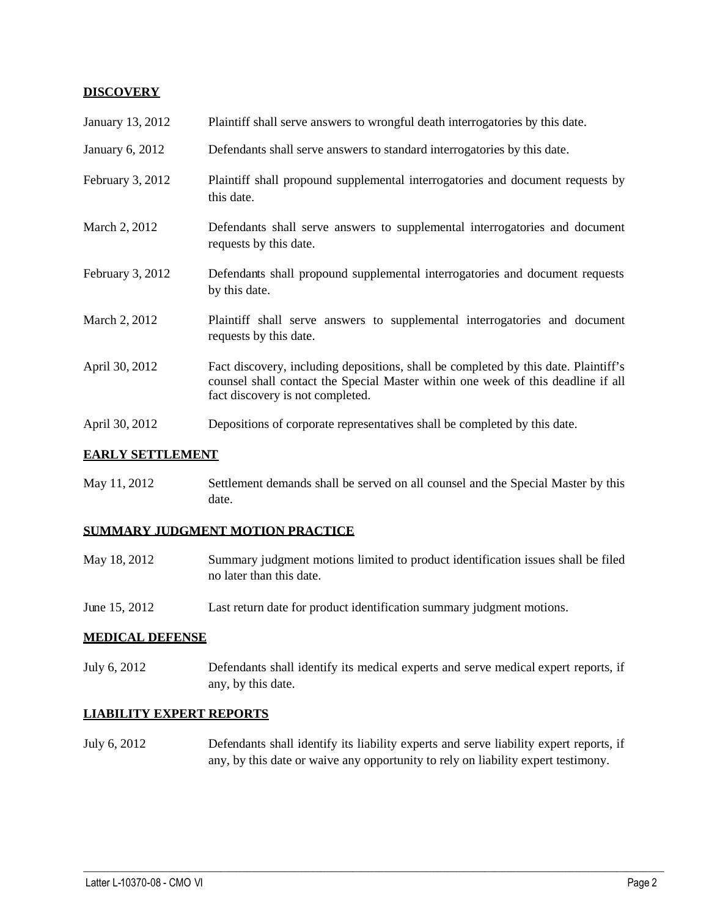### **DISCOVERY**

| January 13, 2012                | Plaintiff shall serve answers to wrongful death interrogatories by this date.                                                                                                                               |
|---------------------------------|-------------------------------------------------------------------------------------------------------------------------------------------------------------------------------------------------------------|
| January 6, 2012                 | Defendants shall serve answers to standard interrogatories by this date.                                                                                                                                    |
| February 3, 2012                | Plaintiff shall propound supplemental interrogatories and document requests by<br>this date.                                                                                                                |
| March 2, 2012                   | Defendants shall serve answers to supplemental interrogatories and document<br>requests by this date.                                                                                                       |
| February 3, 2012                | Defendants shall propound supplemental interrogatories and document requests<br>by this date.                                                                                                               |
| March 2, 2012                   | Plaintiff shall serve answers to supplemental interrogatories and document<br>requests by this date.                                                                                                        |
| April 30, 2012                  | Fact discovery, including depositions, shall be completed by this date. Plaintiff's<br>counsel shall contact the Special Master within one week of this deadline if all<br>fact discovery is not completed. |
| April 30, 2012                  | Depositions of corporate representatives shall be completed by this date.                                                                                                                                   |
| <b>BADY XZ ORIGINY TO ADOUT</b> |                                                                                                                                                                                                             |

## **EARLY SETTLEMENT**

May 11, 2012 Settlement demands shall be served on all counsel and the Special Master by this date.

## **SUMMARY JUDGMENT MOTION PRACTICE**

| May 18, 2012 | Summary judgment motions limited to product identification issues shall be filed |
|--------------|----------------------------------------------------------------------------------|
|              | no later than this date.                                                         |

June 15, 2012 Last return date for product identification summary judgment motions.

#### **MEDICAL DEFENSE**

July 6, 2012 Defendants shall identify its medical experts and serve medical expert reports, if any, by this date.

# **LIABILITY EXPERT REPORTS**

July 6, 2012 Defendants shall identify its liability experts and serve liability expert reports, if any, by this date or waive any opportunity to rely on liability expert testimony.

 $\_$  ,  $\_$  ,  $\_$  ,  $\_$  ,  $\_$  ,  $\_$  ,  $\_$  ,  $\_$  ,  $\_$  ,  $\_$  ,  $\_$  ,  $\_$  ,  $\_$  ,  $\_$  ,  $\_$  ,  $\_$  ,  $\_$  ,  $\_$  ,  $\_$  ,  $\_$  ,  $\_$  ,  $\_$  ,  $\_$  ,  $\_$  ,  $\_$  ,  $\_$  ,  $\_$  ,  $\_$  ,  $\_$  ,  $\_$  ,  $\_$  ,  $\_$  ,  $\_$  ,  $\_$  ,  $\_$  ,  $\_$  ,  $\_$  ,